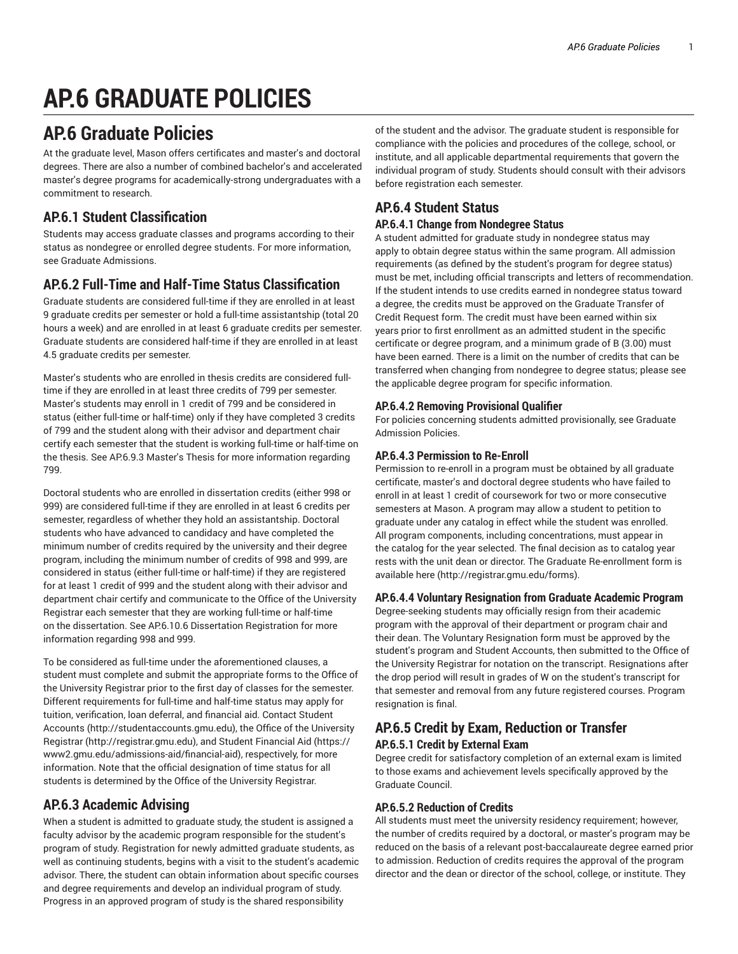# **AP.6 GRADUATE POLICIES**

# **AP.6 Graduate Policies**

At the graduate level, Mason offers certificates and master's and doctoral degrees. There are also a number of combined bachelor's and accelerated master's degree programs for academically-strong undergraduates with a commitment to research.

# **AP.6.1 Student Classification**

Students may access graduate classes and programs according to their status as nondegree or enrolled degree students. For more information, see Graduate Admissions.

# **AP.6.2 Full-Time and Half-Time Status Classification**

Graduate students are considered full-time if they are enrolled in at least 9 graduate credits per semester or hold a full-time assistantship (total 20 hours a week) and are enrolled in at least 6 graduate credits per semester. Graduate students are considered half-time if they are enrolled in at least 4.5 graduate credits per semester.

Master's students who are enrolled in thesis credits are considered fulltime if they are enrolled in at least three credits of 799 per semester. Master's students may enroll in 1 credit of 799 and be considered in status (either full-time or half-time) only if they have completed 3 credits of 799 and the student along with their advisor and department chair certify each semester that the student is working full-time or half-time on the thesis. See AP.6.9.3 Master's Thesis for more information regarding 799.

Doctoral students who are enrolled in dissertation credits (either 998 or 999) are considered full-time if they are enrolled in at least 6 credits per semester, regardless of whether they hold an assistantship. Doctoral students who have advanced to candidacy and have completed the minimum number of credits required by the university and their degree program, including the minimum number of credits of 998 and 999, are considered in status (either full-time or half-time) if they are registered for at least 1 credit of 999 and the student along with their advisor and department chair certify and communicate to the Office of the University Registrar each semester that they are working full-time or half-time on the dissertation. See AP.6.10.6 Dissertation Registration for more information regarding 998 and 999.

To be considered as full-time under the aforementioned clauses, a student must complete and submit the appropriate forms to the Office of the University Registrar prior to the first day of classes for the semester. Different requirements for full-time and half-time status may apply for tuition, verification, loan deferral, and financial aid. Contact Student Accounts (http://studentaccounts.gmu.edu), the Office of the University Registrar (http://registrar.gmu.edu), and Student Financial Aid (https:// www2.gmu.edu/admissions-aid/financial-aid), respectively, for more information. Note that the official designation of time status for all students is determined by the Office of the University Registrar.

# **AP.6.3 Academic Advising**

When a student is admitted to graduate study, the student is assigned a faculty advisor by the academic program responsible for the student's program of study. Registration for newly admitted graduate students, as well as continuing students, begins with a visit to the student's academic advisor. There, the student can obtain information about specific courses and degree requirements and develop an individual program of study. Progress in an approved program of study is the shared responsibility

of the student and the advisor. The graduate student is responsible for compliance with the policies and procedures of the college, school, or institute, and all applicable departmental requirements that govern the individual program of study. Students should consult with their advisors before registration each semester.

# **AP.6.4 Student Status**

# **AP.6.4.1 Change from Nondegree Status**

A student admitted for graduate study in nondegree status may apply to obtain degree status within the same program. All admission requirements (as defined by the student's program for degree status) must be met, including official transcripts and letters of recommendation. If the student intends to use credits earned in nondegree status toward a degree, the credits must be approved on the Graduate Transfer of Credit Request form. The credit must have been earned within six years prior to first enrollment as an admitted student in the specific certificate or degree program, and a minimum grade of B (3.00) must have been earned. There is a limit on the number of credits that can be transferred when changing from nondegree to degree status; please see the applicable degree program for specific information.

# **AP.6.4.2 Removing Provisional Qualifier**

For policies concerning students admitted provisionally, see Graduate Admission Policies.

# **AP.6.4.3 Permission to Re-Enroll**

Permission to re-enroll in a program must be obtained by all graduate certificate, master's and doctoral degree students who have failed to enroll in at least 1 credit of coursework for two or more consecutive semesters at Mason. A program may allow a student to petition to graduate under any catalog in effect while the student was enrolled. All program components, including concentrations, must appear in the catalog for the year selected. The final decision as to catalog year rests with the unit dean or director. The Graduate Re-enrollment form is available here (http://registrar.gmu.edu/forms).

# **AP.6.4.4 Voluntary Resignation from Graduate Academic Program**

Degree-seeking students may officially resign from their academic program with the approval of their department or program chair and their dean. The Voluntary Resignation form must be approved by the student's program and Student Accounts, then submitted to the Office of the University Registrar for notation on the transcript. Resignations after the drop period will result in grades of W on the student's transcript for that semester and removal from any future registered courses. Program resignation is final.

# **AP.6.5 Credit by Exam, Reduction or Transfer AP.6.5.1 Credit by External Exam**

Degree credit for satisfactory completion of an external exam is limited to those exams and achievement levels specifically approved by the Graduate Council.

# **AP.6.5.2 Reduction of Credits**

All students must meet the university residency requirement; however, the number of credits required by a doctoral, or master's program may be reduced on the basis of a relevant post-baccalaureate degree earned prior to admission. Reduction of credits requires the approval of the program director and the dean or director of the school, college, or institute. They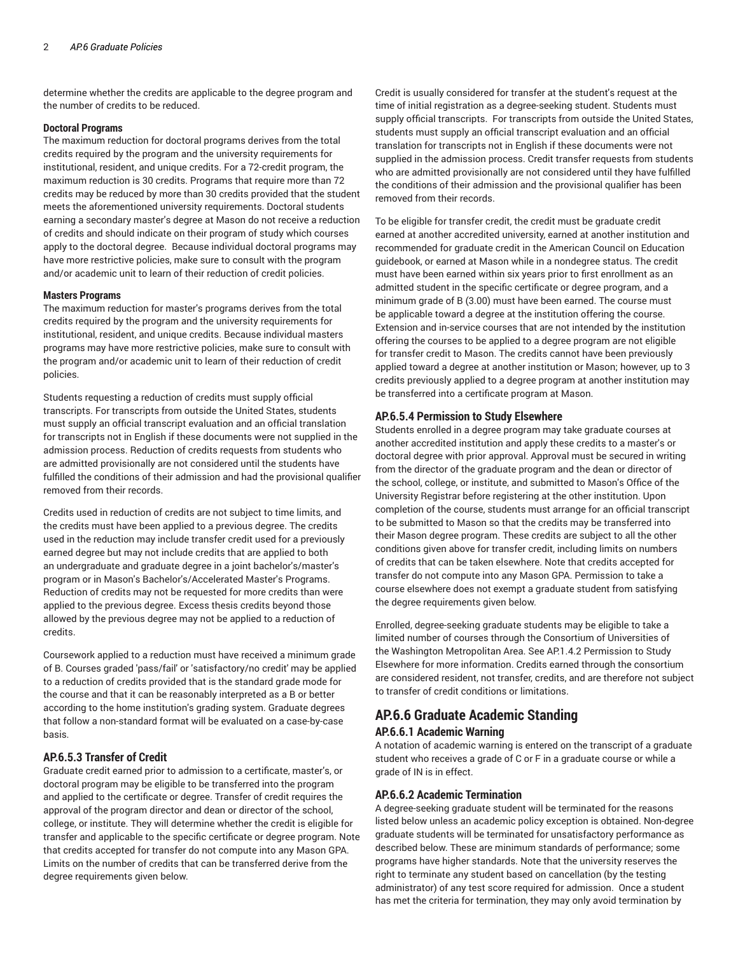determine whether the credits are applicable to the degree program and the number of credits to be reduced.

# **Doctoral Programs**

The maximum reduction for doctoral programs derives from the total credits required by the program and the university requirements for institutional, resident, and unique credits. For a 72-credit program, the maximum reduction is 30 credits. Programs that require more than 72 credits may be reduced by more than 30 credits provided that the student meets the aforementioned university requirements. Doctoral students earning a secondary master's degree at Mason do not receive a reduction of credits and should indicate on their program of study which courses apply to the doctoral degree. Because individual doctoral programs may have more restrictive policies, make sure to consult with the program and/or academic unit to learn of their reduction of credit policies.

# **Masters Programs**

The maximum reduction for master's programs derives from the total credits required by the program and the university requirements for institutional, resident, and unique credits. Because individual masters programs may have more restrictive policies, make sure to consult with the program and/or academic unit to learn of their reduction of credit policies.

Students requesting a reduction of credits must supply official transcripts. For transcripts from outside the United States, students must supply an official transcript evaluation and an official translation for transcripts not in English if these documents were not supplied in the admission process. Reduction of credits requests from students who are admitted provisionally are not considered until the students have fulfilled the conditions of their admission and had the provisional qualifier removed from their records.

Credits used in reduction of credits are not subject to time limits, and the credits must have been applied to a previous degree. The credits used in the reduction may include transfer credit used for a previously earned degree but may not include credits that are applied to both an undergraduate and graduate degree in a joint bachelor's/master's program or in Mason's Bachelor's/Accelerated Master's Programs. Reduction of credits may not be requested for more credits than were applied to the previous degree. Excess thesis credits beyond those allowed by the previous degree may not be applied to a reduction of credits.

Coursework applied to a reduction must have received a minimum grade of B. Courses graded 'pass/fail' or 'satisfactory/no credit' may be applied to a reduction of credits provided that is the standard grade mode for the course and that it can be reasonably interpreted as a B or better according to the home institution's grading system. Graduate degrees that follow a non-standard format will be evaluated on a case-by-case basis.

# **AP.6.5.3 Transfer of Credit**

Graduate credit earned prior to admission to a certificate, master's, or doctoral program may be eligible to be transferred into the program and applied to the certificate or degree. Transfer of credit requires the approval of the program director and dean or director of the school, college, or institute. They will determine whether the credit is eligible for transfer and applicable to the specific certificate or degree program. Note that credits accepted for transfer do not compute into any Mason GPA. Limits on the number of credits that can be transferred derive from the degree requirements given below.

Credit is usually considered for transfer at the student's request at the time of initial registration as a degree-seeking student. Students must supply official transcripts. For transcripts from outside the United States, students must supply an official transcript evaluation and an official translation for transcripts not in English if these documents were not supplied in the admission process. Credit transfer requests from students who are admitted provisionally are not considered until they have fulfilled the conditions of their admission and the provisional qualifier has been removed from their records.

To be eligible for transfer credit, the credit must be graduate credit earned at another accredited university, earned at another institution and recommended for graduate credit in the American Council on Education guidebook, or earned at Mason while in a nondegree status. The credit must have been earned within six years prior to first enrollment as an admitted student in the specific certificate or degree program, and a minimum grade of B (3.00) must have been earned. The course must be applicable toward a degree at the institution offering the course. Extension and in-service courses that are not intended by the institution offering the courses to be applied to a degree program are not eligible for transfer credit to Mason. The credits cannot have been previously applied toward a degree at another institution or Mason; however, up to 3 credits previously applied to a degree program at another institution may be transferred into a certificate program at Mason.

# **AP.6.5.4 Permission to Study Elsewhere**

Students enrolled in a degree program may take graduate courses at another accredited institution and apply these credits to a master's or doctoral degree with prior approval. Approval must be secured in writing from the director of the graduate program and the dean or director of the school, college, or institute, and submitted to Mason's Office of the University Registrar before registering at the other institution. Upon completion of the course, students must arrange for an official transcript to be submitted to Mason so that the credits may be transferred into their Mason degree program. These credits are subject to all the other conditions given above for transfer credit, including limits on numbers of credits that can be taken elsewhere. Note that credits accepted for transfer do not compute into any Mason GPA. Permission to take a course elsewhere does not exempt a graduate student from satisfying the degree requirements given below.

Enrolled, degree-seeking graduate students may be eligible to take a limited number of courses through the Consortium of Universities of the Washington Metropolitan Area. See AP.1.4.2 Permission to Study Elsewhere for more information. Credits earned through the consortium are considered resident, not transfer, credits, and are therefore not subject to transfer of credit conditions or limitations.

# **AP.6.6 Graduate Academic Standing AP.6.6.1 Academic Warning**

A notation of academic warning is entered on the transcript of a graduate student who receives a grade of C or F in a graduate course or while a grade of IN is in effect.

## **AP.6.6.2 Academic Termination**

A degree-seeking graduate student will be terminated for the reasons listed below unless an academic policy exception is obtained. Non-degree graduate students will be terminated for unsatisfactory performance as described below. These are minimum standards of performance; some programs have higher standards. Note that the university reserves the right to terminate any student based on cancellation (by the testing administrator) of any test score required for admission. Once a student has met the criteria for termination, they may only avoid termination by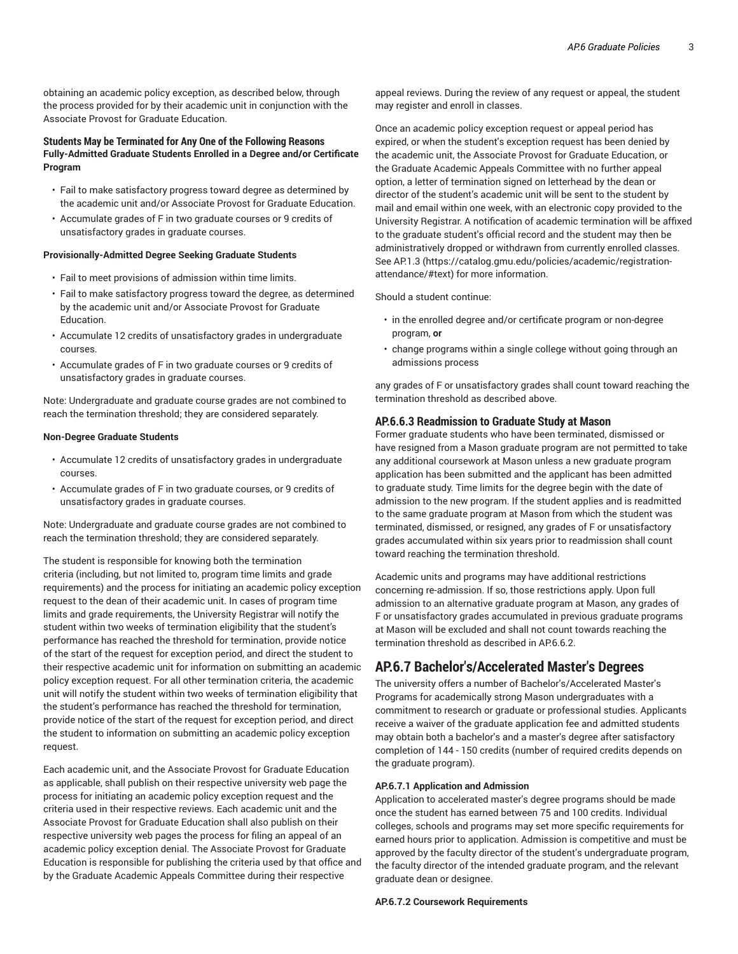obtaining an academic policy exception, as described below, through the process provided for by their academic unit in conjunction with the Associate Provost for Graduate Education.

# **Students May be Terminated for Any One of the Following Reasons Fully-Admitted Graduate Students Enrolled in a Degree and/or Certificate Program**

- Fail to make satisfactory progress toward degree as determined by the academic unit and/or Associate Provost for Graduate Education.
- Accumulate grades of F in two graduate courses or 9 credits of unsatisfactory grades in graduate courses.

#### **Provisionally-Admitted Degree Seeking Graduate Students**

- Fail to meet provisions of admission within time limits.
- Fail to make satisfactory progress toward the degree, as determined by the academic unit and/or Associate Provost for Graduate Education.
- Accumulate 12 credits of unsatisfactory grades in undergraduate courses.
- Accumulate grades of F in two graduate courses or 9 credits of unsatisfactory grades in graduate courses.

Note: Undergraduate and graduate course grades are not combined to reach the termination threshold; they are considered separately.

#### **Non-Degree Graduate Students**

- Accumulate 12 credits of unsatisfactory grades in undergraduate courses.
- Accumulate grades of F in two graduate courses, or 9 credits of unsatisfactory grades in graduate courses.

Note: Undergraduate and graduate course grades are not combined to reach the termination threshold; they are considered separately.

The student is responsible for knowing both the termination criteria (including, but not limited to, program time limits and grade requirements) and the process for initiating an academic policy exception request to the dean of their academic unit. In cases of program time limits and grade requirements, the University Registrar will notify the student within two weeks of termination eligibility that the student's performance has reached the threshold for termination, provide notice of the start of the request for exception period, and direct the student to their respective academic unit for information on submitting an academic policy exception request. For all other termination criteria, the academic unit will notify the student within two weeks of termination eligibility that the student's performance has reached the threshold for termination, provide notice of the start of the request for exception period, and direct the student to information on submitting an academic policy exception request.

Each academic unit, and the Associate Provost for Graduate Education as applicable, shall publish on their respective university web page the process for initiating an academic policy exception request and the criteria used in their respective reviews. Each academic unit and the Associate Provost for Graduate Education shall also publish on their respective university web pages the process for filing an appeal of an academic policy exception denial. The Associate Provost for Graduate Education is responsible for publishing the criteria used by that office and by the Graduate Academic Appeals Committee during their respective

appeal reviews. During the review of any request or appeal, the student may register and enroll in classes.

Once an academic policy exception request or appeal period has expired, or when the student's exception request has been denied by the academic unit, the Associate Provost for Graduate Education, or the Graduate Academic Appeals Committee with no further appeal option, a letter of termination signed on letterhead by the dean or director of the student's academic unit will be sent to the student by mail and email within one week, with an electronic copy provided to the University Registrar. A notification of academic termination will be affixed to the graduate student's official record and the student may then be administratively dropped or withdrawn from currently enrolled classes. See AP.1.3 (https://catalog.gmu.edu/policies/academic/registrationattendance/#text) for more information.

Should a student continue:

- in the enrolled degree and/or certificate program or non-degree program, **or**
- change programs within a single college without going through an admissions process

any grades of F or unsatisfactory grades shall count toward reaching the termination threshold as described above.

#### **AP.6.6.3 Readmission to Graduate Study at Mason**

Former graduate students who have been terminated, dismissed or have resigned from a Mason graduate program are not permitted to take any additional coursework at Mason unless a new graduate program application has been submitted and the applicant has been admitted to graduate study. Time limits for the degree begin with the date of admission to the new program. If the student applies and is readmitted to the same graduate program at Mason from which the student was terminated, dismissed, or resigned, any grades of F or unsatisfactory grades accumulated within six years prior to readmission shall count toward reaching the termination threshold.

Academic units and programs may have additional restrictions concerning re-admission. If so, those restrictions apply. Upon full admission to an alternative graduate program at Mason, any grades of F or unsatisfactory grades accumulated in previous graduate programs at Mason will be excluded and shall not count towards reaching the termination threshold as described in AP.6.6.2.

# **AP.6.7 Bachelor's/Accelerated Master's Degrees**

The university offers a number of Bachelor's/Accelerated Master's Programs for academically strong Mason undergraduates with a commitment to research or graduate or professional studies. Applicants receive a waiver of the graduate application fee and admitted students may obtain both a bachelor's and a master's degree after satisfactory completion of 144 - 150 credits (number of required credits depends on the graduate program).

#### **AP.6.7.1 Application and Admission**

Application to accelerated master's degree programs should be made once the student has earned between 75 and 100 credits. Individual colleges, schools and programs may set more specific requirements for earned hours prior to application. Admission is competitive and must be approved by the faculty director of the student's undergraduate program, the faculty director of the intended graduate program, and the relevant graduate dean or designee.

**AP.6.7.2 Coursework Requirements**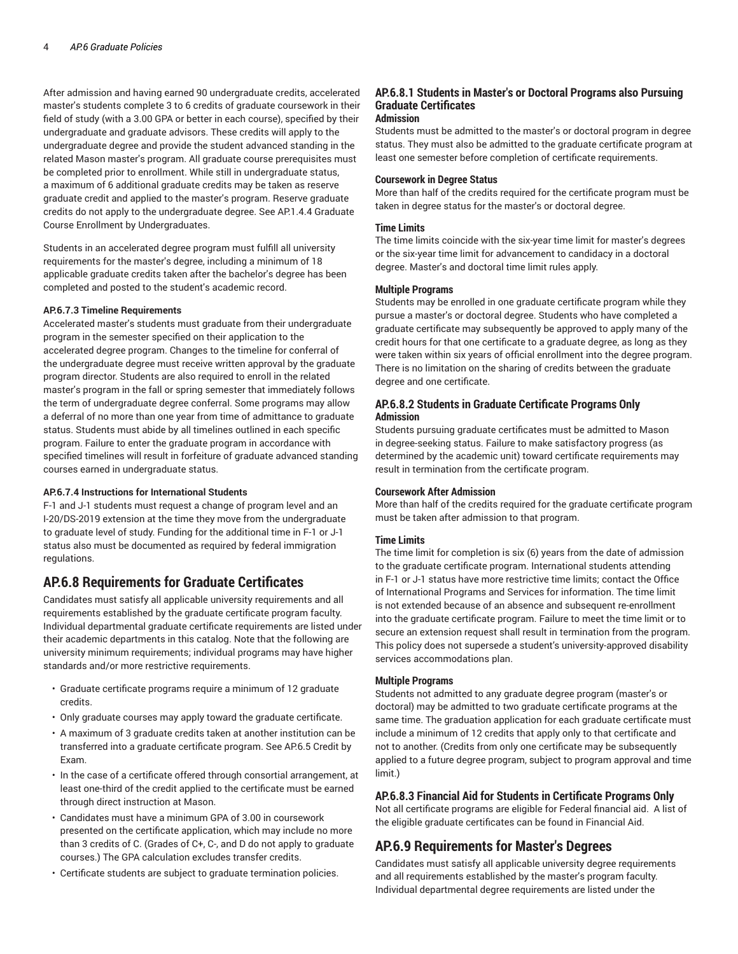After admission and having earned 90 undergraduate credits, accelerated master's students complete 3 to 6 credits of graduate coursework in their field of study (with a 3.00 GPA or better in each course), specified by their undergraduate and graduate advisors. These credits will apply to the undergraduate degree and provide the student advanced standing in the related Mason master's program. All graduate course prerequisites must be completed prior to enrollment. While still in undergraduate status, a maximum of 6 additional graduate credits may be taken as reserve graduate credit and applied to the master's program. Reserve graduate credits do not apply to the undergraduate degree. See AP.1.4.4 Graduate Course Enrollment by Undergraduates.

Students in an accelerated degree program must fulfill all university requirements for the master's degree, including a minimum of 18 applicable graduate credits taken after the bachelor's degree has been completed and posted to the student's academic record.

## **AP.6.7.3 Timeline Requirements**

Accelerated master's students must graduate from their undergraduate program in the semester specified on their application to the accelerated degree program. Changes to the timeline for conferral of the undergraduate degree must receive written approval by the graduate program director. Students are also required to enroll in the related master's program in the fall or spring semester that immediately follows the term of undergraduate degree conferral. Some programs may allow a deferral of no more than one year from time of admittance to graduate status. Students must abide by all timelines outlined in each specific program. Failure to enter the graduate program in accordance with specified timelines will result in forfeiture of graduate advanced standing courses earned in undergraduate status.

#### **AP.6.7.4 Instructions for International Students**

F-1 and J-1 students must request a change of program level and an I-20/DS-2019 extension at the time they move from the undergraduate to graduate level of study. Funding for the additional time in F-1 or J-1 status also must be documented as required by federal immigration regulations.

# **AP.6.8 Requirements for Graduate Certificates**

Candidates must satisfy all applicable university requirements and all requirements established by the graduate certificate program faculty. Individual departmental graduate certificate requirements are listed under their academic departments in this catalog. Note that the following are university minimum requirements; individual programs may have higher standards and/or more restrictive requirements.

- Graduate certificate programs require a minimum of 12 graduate credits.
- Only graduate courses may apply toward the graduate certificate.
- A maximum of 3 graduate credits taken at another institution can be transferred into a graduate certificate program. See AP.6.5 Credit by Exam.
- In the case of a certificate offered through consortial arrangement, at least one-third of the credit applied to the certificate must be earned through direct instruction at Mason.
- Candidates must have a minimum GPA of 3.00 in coursework presented on the certificate application, which may include no more than 3 credits of C. (Grades of C+, C-, and D do not apply to graduate courses.) The GPA calculation excludes transfer credits.
- Certificate students are subject to graduate termination policies.

# **AP.6.8.1 Students in Master's or Doctoral Programs also Pursuing Graduate Certificates**

# **Admission**

Students must be admitted to the master's or doctoral program in degree status. They must also be admitted to the graduate certificate program at least one semester before completion of certificate requirements.

#### **Coursework in Degree Status**

More than half of the credits required for the certificate program must be taken in degree status for the master's or doctoral degree.

#### **Time Limits**

The time limits coincide with the six-year time limit for master's degrees or the six-year time limit for advancement to candidacy in a doctoral degree. Master's and doctoral time limit rules apply.

#### **Multiple Programs**

Students may be enrolled in one graduate certificate program while they pursue a master's or doctoral degree. Students who have completed a graduate certificate may subsequently be approved to apply many of the credit hours for that one certificate to a graduate degree, as long as they were taken within six years of official enrollment into the degree program. There is no limitation on the sharing of credits between the graduate degree and one certificate.

# **AP.6.8.2 Students in Graduate Certificate Programs Only Admission**

Students pursuing graduate certificates must be admitted to Mason in degree-seeking status. Failure to make satisfactory progress (as determined by the academic unit) toward certificate requirements may result in termination from the certificate program.

#### **Coursework After Admission**

More than half of the credits required for the graduate certificate program must be taken after admission to that program.

#### **Time Limits**

The time limit for completion is six (6) years from the date of admission to the graduate certificate program. International students attending in F-1 or J-1 status have more restrictive time limits; contact the Office of International Programs and Services for information. The time limit is not extended because of an absence and subsequent re-enrollment into the graduate certificate program. Failure to meet the time limit or to secure an extension request shall result in termination from the program. This policy does not supersede a student's university-approved disability services accommodations plan.

# **Multiple Programs**

Students not admitted to any graduate degree program (master's or doctoral) may be admitted to two graduate certificate programs at the same time. The graduation application for each graduate certificate must include a minimum of 12 credits that apply only to that certificate and not to another. (Credits from only one certificate may be subsequently applied to a future degree program, subject to program approval and time limit.)

## **AP.6.8.3 Financial Aid for Students in Certificate Programs Only**

Not all certificate programs are eligible for Federal financial aid. A list of the eligible graduate certificates can be found in Financial Aid.

# **AP.6.9 Requirements for Master's Degrees**

Candidates must satisfy all applicable university degree requirements and all requirements established by the master's program faculty. Individual departmental degree requirements are listed under the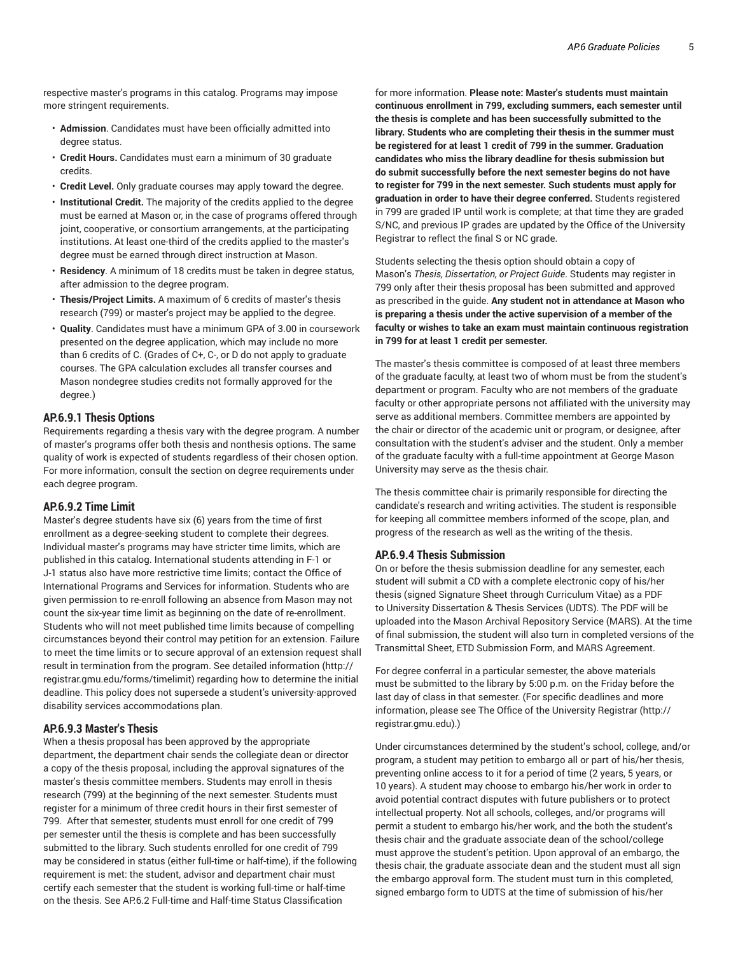respective master's programs in this catalog. Programs may impose more stringent requirements.

- **Admission**. Candidates must have been officially admitted into degree status.
- **Credit Hours.** Candidates must earn a minimum of 30 graduate credits.
- **Credit Level.** Only graduate courses may apply toward the degree.
- **Institutional Credit.** The majority of the credits applied to the degree must be earned at Mason or, in the case of programs offered through joint, cooperative, or consortium arrangements, at the participating institutions. At least one-third of the credits applied to the master's degree must be earned through direct instruction at Mason.
- **Residency**. A minimum of 18 credits must be taken in degree status, after admission to the degree program.
- **Thesis/Project Limits.** A maximum of 6 credits of master's thesis research (799) or master's project may be applied to the degree.
- **Quality**. Candidates must have a minimum GPA of 3.00 in coursework presented on the degree application, which may include no more than 6 credits of C. (Grades of C+, C-, or D do not apply to graduate courses. The GPA calculation excludes all transfer courses and Mason nondegree studies credits not formally approved for the degree.)

# **AP.6.9.1 Thesis Options**

Requirements regarding a thesis vary with the degree program. A number of master's programs offer both thesis and nonthesis options. The same quality of work is expected of students regardless of their chosen option. For more information, consult the section on degree requirements under each degree program.

## **AP.6.9.2 Time Limit**

Master's degree students have six (6) years from the time of first enrollment as a degree-seeking student to complete their degrees. Individual master's programs may have stricter time limits, which are published in this catalog. International students attending in F-1 or J-1 status also have more restrictive time limits; contact the Office of International Programs and Services for information. Students who are given permission to re-enroll following an absence from Mason may not count the six-year time limit as beginning on the date of re-enrollment. Students who will not meet published time limits because of compelling circumstances beyond their control may petition for an extension. Failure to meet the time limits or to secure approval of an extension request shall result in termination from the program. See detailed information (http:// registrar.gmu.edu/forms/timelimit) regarding how to determine the initial deadline. This policy does not supersede a student's university-approved disability services accommodations plan.

# **AP.6.9.3 Master's Thesis**

When a thesis proposal has been approved by the appropriate department, the department chair sends the collegiate dean or director a copy of the thesis proposal, including the approval signatures of the master's thesis committee members. Students may enroll in thesis research (799) at the beginning of the next semester. Students must register for a minimum of three credit hours in their first semester of 799. After that semester, students must enroll for one credit of 799 per semester until the thesis is complete and has been successfully submitted to the library. Such students enrolled for one credit of 799 may be considered in status (either full-time or half-time), if the following requirement is met: the student, advisor and department chair must certify each semester that the student is working full-time or half-time on the thesis. See AP.6.2 Full-time and Half-time Status Classification

for more information. **Please note: Master's students must maintain continuous enrollment in 799, excluding summers, each semester until the thesis is complete and has been successfully submitted to the library. Students who are completing their thesis in the summer must be registered for at least 1 credit of 799 in the summer. Graduation candidates who miss the library deadline for thesis submission but do submit successfully before the next semester begins do not have to register for 799 in the next semester. Such students must apply for graduation in order to have their degree conferred.** Students registered in 799 are graded IP until work is complete; at that time they are graded S/NC, and previous IP grades are updated by the Office of the University Registrar to reflect the final S or NC grade.

Students selecting the thesis option should obtain a copy of Mason's *Thesis, Dissertation, or Project Guide*. Students may register in 799 only after their thesis proposal has been submitted and approved as prescribed in the guide. **Any student not in attendance at Mason who is preparing a thesis under the active supervision of a member of the faculty or wishes to take an exam must maintain continuous registration in 799 for at least 1 credit per semester.**

The master's thesis committee is composed of at least three members of the graduate faculty, at least two of whom must be from the student's department or program. Faculty who are not members of the graduate faculty or other appropriate persons not affiliated with the university may serve as additional members. Committee members are appointed by the chair or director of the academic unit or program, or designee, after consultation with the student's adviser and the student. Only a member of the graduate faculty with a full-time appointment at George Mason University may serve as the thesis chair.

The thesis committee chair is primarily responsible for directing the candidate's research and writing activities. The student is responsible for keeping all committee members informed of the scope, plan, and progress of the research as well as the writing of the thesis.

# **AP.6.9.4 Thesis Submission**

On or before the thesis submission deadline for any semester, each student will submit a CD with a complete electronic copy of his/her thesis (signed Signature Sheet through Curriculum Vitae) as a PDF to University Dissertation & Thesis Services (UDTS). The PDF will be uploaded into the Mason Archival Repository Service (MARS). At the time of final submission, the student will also turn in completed versions of the Transmittal Sheet, ETD Submission Form, and MARS Agreement.

For degree conferral in a particular semester, the above materials must be submitted to the library by 5:00 p.m. on the Friday before the last day of class in that semester. (For specific deadlines and more information, please see The Office of the University Registrar (http:// registrar.gmu.edu).)

Under circumstances determined by the student's school, college, and/or program, a student may petition to embargo all or part of his/her thesis, preventing online access to it for a period of time (2 years, 5 years, or 10 years). A student may choose to embargo his/her work in order to avoid potential contract disputes with future publishers or to protect intellectual property. Not all schools, colleges, and/or programs will permit a student to embargo his/her work, and the both the student's thesis chair and the graduate associate dean of the school/college must approve the student's petition. Upon approval of an embargo, the thesis chair, the graduate associate dean and the student must all sign the embargo approval form. The student must turn in this completed, signed embargo form to UDTS at the time of submission of his/her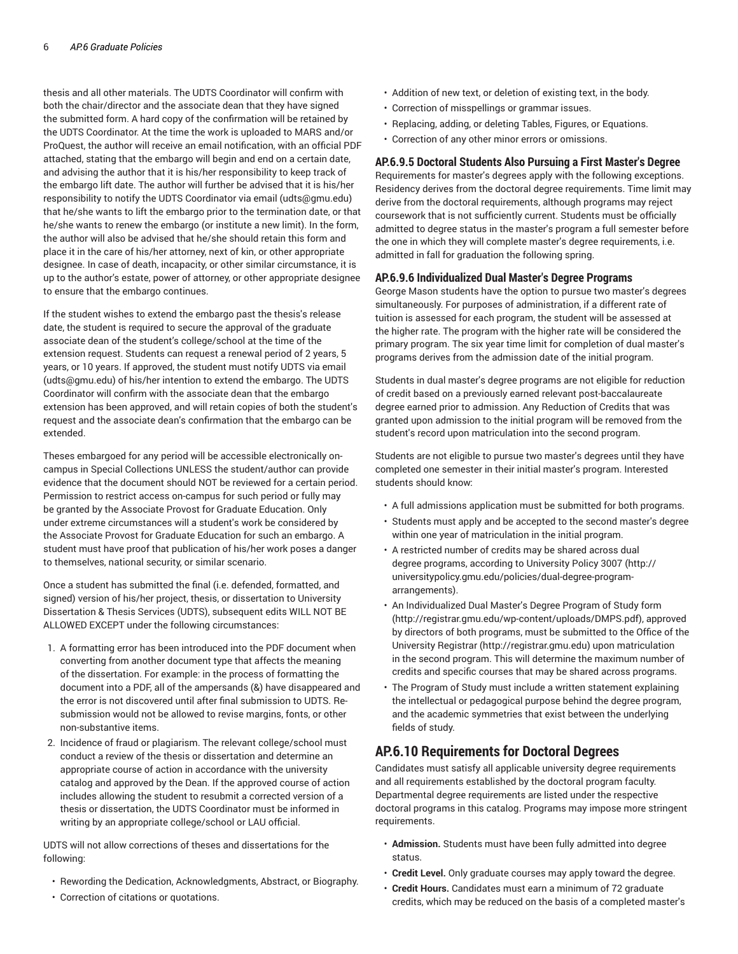thesis and all other materials. The UDTS Coordinator will confirm with both the chair/director and the associate dean that they have signed the submitted form. A hard copy of the confirmation will be retained by the UDTS Coordinator. At the time the work is uploaded to MARS and/or ProQuest, the author will receive an email notification, with an official PDF attached, stating that the embargo will begin and end on a certain date, and advising the author that it is his/her responsibility to keep track of the embargo lift date. The author will further be advised that it is his/her responsibility to notify the UDTS Coordinator via email (udts@gmu.edu) that he/she wants to lift the embargo prior to the termination date, or that he/she wants to renew the embargo (or institute a new limit). In the form, the author will also be advised that he/she should retain this form and place it in the care of his/her attorney, next of kin, or other appropriate designee. In case of death, incapacity, or other similar circumstance, it is up to the author's estate, power of attorney, or other appropriate designee to ensure that the embargo continues.

If the student wishes to extend the embargo past the thesis's release date, the student is required to secure the approval of the graduate associate dean of the student's college/school at the time of the extension request. Students can request a renewal period of 2 years, 5 years, or 10 years. If approved, the student must notify UDTS via email (udts@gmu.edu) of his/her intention to extend the embargo. The UDTS Coordinator will confirm with the associate dean that the embargo extension has been approved, and will retain copies of both the student's request and the associate dean's confirmation that the embargo can be extended.

Theses embargoed for any period will be accessible electronically oncampus in Special Collections UNLESS the student/author can provide evidence that the document should NOT be reviewed for a certain period. Permission to restrict access on-campus for such period or fully may be granted by the Associate Provost for Graduate Education. Only under extreme circumstances will a student's work be considered by the Associate Provost for Graduate Education for such an embargo. A student must have proof that publication of his/her work poses a danger to themselves, national security, or similar scenario.

Once a student has submitted the final (i.e. defended, formatted, and signed) version of his/her project, thesis, or dissertation to University Dissertation & Thesis Services (UDTS), subsequent edits WILL NOT BE ALLOWED EXCEPT under the following circumstances:

- 1. A formatting error has been introduced into the PDF document when converting from another document type that affects the meaning of the dissertation. For example: in the process of formatting the document into a PDF, all of the ampersands (&) have disappeared and the error is not discovered until after final submission to UDTS. Resubmission would not be allowed to revise margins, fonts, or other non-substantive items.
- 2. Incidence of fraud or plagiarism. The relevant college/school must conduct a review of the thesis or dissertation and determine an appropriate course of action in accordance with the university catalog and approved by the Dean. If the approved course of action includes allowing the student to resubmit a corrected version of a thesis or dissertation, the UDTS Coordinator must be informed in writing by an appropriate college/school or LAU official.

UDTS will not allow corrections of theses and dissertations for the following:

- Rewording the Dedication, Acknowledgments, Abstract, or Biography.
- Correction of citations or quotations.
- Addition of new text, or deletion of existing text, in the body.
- Correction of misspellings or grammar issues.
- Replacing, adding, or deleting Tables, Figures, or Equations.
- Correction of any other minor errors or omissions.

# **AP.6.9.5 Doctoral Students Also Pursuing a First Master's Degree**

Requirements for master's degrees apply with the following exceptions. Residency derives from the doctoral degree requirements. Time limit may derive from the doctoral requirements, although programs may reject coursework that is not sufficiently current. Students must be officially admitted to degree status in the master's program a full semester before the one in which they will complete master's degree requirements, i.e. admitted in fall for graduation the following spring.

# **AP.6.9.6 Individualized Dual Master's Degree Programs**

George Mason students have the option to pursue two master's degrees simultaneously. For purposes of administration, if a different rate of tuition is assessed for each program, the student will be assessed at the higher rate. The program with the higher rate will be considered the primary program. The six year time limit for completion of dual master's programs derives from the admission date of the initial program.

Students in dual master's degree programs are not eligible for reduction of credit based on a previously earned relevant post-baccalaureate degree earned prior to admission. Any Reduction of Credits that was granted upon admission to the initial program will be removed from the student's record upon matriculation into the second program.

Students are not eligible to pursue two master's degrees until they have completed one semester in their initial master's program. Interested students should know:

- A full admissions application must be submitted for both programs.
- Students must apply and be accepted to the second master's degree within one year of matriculation in the initial program.
- A restricted number of credits may be shared across dual degree programs, according to University Policy 3007 (http:// universitypolicy.gmu.edu/policies/dual-degree-programarrangements).
- An Individualized Dual Master's Degree Program of Study form (http://registrar.gmu.edu/wp-content/uploads/DMPS.pdf), approved by directors of both programs, must be submitted to the Office of the University Registrar (http://registrar.gmu.edu) upon matriculation in the second program. This will determine the maximum number of credits and specific courses that may be shared across programs.
- The Program of Study must include a written statement explaining the intellectual or pedagogical purpose behind the degree program, and the academic symmetries that exist between the underlying fields of study.

# **AP.6.10 Requirements for Doctoral Degrees**

Candidates must satisfy all applicable university degree requirements and all requirements established by the doctoral program faculty. Departmental degree requirements are listed under the respective doctoral programs in this catalog. Programs may impose more stringent requirements.

- **Admission.** Students must have been fully admitted into degree status.
- **Credit Level.** Only graduate courses may apply toward the degree.
- **Credit Hours.** Candidates must earn a minimum of 72 graduate credits, which may be reduced on the basis of a completed master's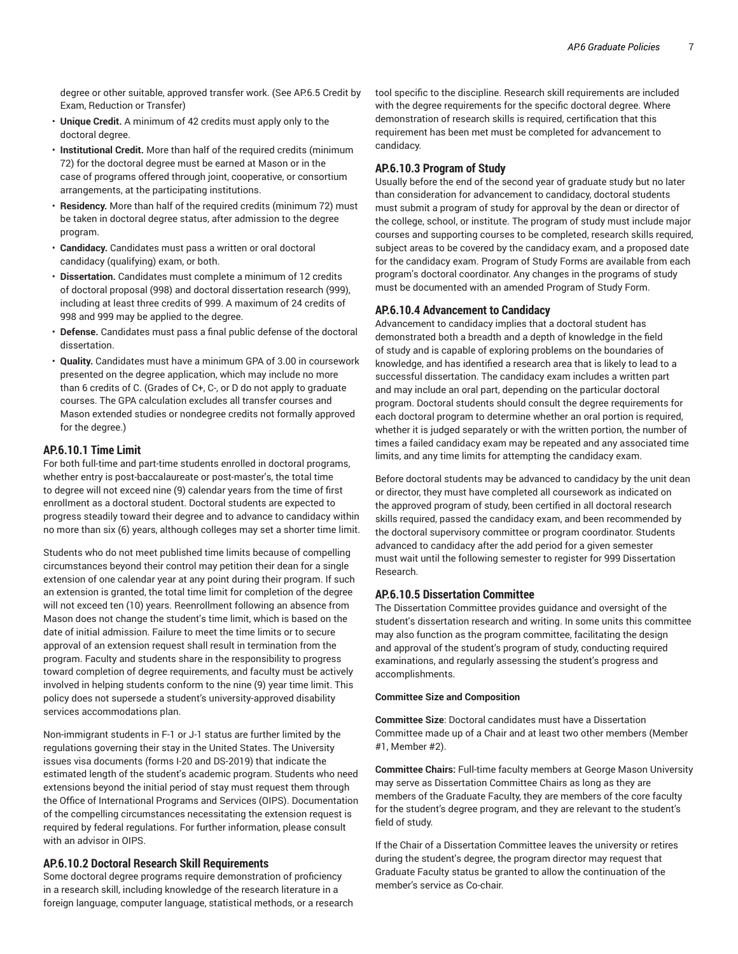degree or other suitable, approved transfer work. (See AP.6.5 Credit by Exam, Reduction or Transfer)

- **Unique Credit.** A minimum of 42 credits must apply only to the doctoral degree.
- **Institutional Credit.** More than half of the required credits (minimum 72) for the doctoral degree must be earned at Mason or in the case of programs offered through joint, cooperative, or consortium arrangements, at the participating institutions.
- **Residency.** More than half of the required credits (minimum 72) must be taken in doctoral degree status, after admission to the degree program.
- **Candidacy.** Candidates must pass a written or oral doctoral candidacy (qualifying) exam, or both.
- **Dissertation.** Candidates must complete a minimum of 12 credits of doctoral proposal (998) and doctoral dissertation research (999), including at least three credits of 999. A maximum of 24 credits of 998 and 999 may be applied to the degree.
- **Defense.** Candidates must pass a final public defense of the doctoral dissertation.
- **Quality.** Candidates must have a minimum GPA of 3.00 in coursework presented on the degree application, which may include no more than 6 credits of C. (Grades of C+, C-, or D do not apply to graduate courses. The GPA calculation excludes all transfer courses and Mason extended studies or nondegree credits not formally approved for the degree.)

# **AP.6.10.1 Time Limit**

For both full-time and part-time students enrolled in doctoral programs, whether entry is post-baccalaureate or post-master's, the total time to degree will not exceed nine (9) calendar years from the time of first enrollment as a doctoral student. Doctoral students are expected to progress steadily toward their degree and to advance to candidacy within no more than six (6) years, although colleges may set a shorter time limit.

Students who do not meet published time limits because of compelling circumstances beyond their control may petition their dean for a single extension of one calendar year at any point during their program. If such an extension is granted, the total time limit for completion of the degree will not exceed ten (10) years. Reenrollment following an absence from Mason does not change the student's time limit, which is based on the date of initial admission. Failure to meet the time limits or to secure approval of an extension request shall result in termination from the program. Faculty and students share in the responsibility to progress toward completion of degree requirements, and faculty must be actively involved in helping students conform to the nine (9) year time limit. This policy does not supersede a student's university-approved disability services accommodations plan.

Non-immigrant students in F-1 or J-1 status are further limited by the regulations governing their stay in the United States. The University issues visa documents (forms I-20 and DS-2019) that indicate the estimated length of the student's academic program. Students who need extensions beyond the initial period of stay must request them through the Office of International Programs and Services (OIPS). Documentation of the compelling circumstances necessitating the extension request is required by federal regulations. For further information, please consult with an advisor in OIPS.

#### **AP.6.10.2 Doctoral Research Skill Requirements**

Some doctoral degree programs require demonstration of proficiency in a research skill, including knowledge of the research literature in a foreign language, computer language, statistical methods, or a research tool specific to the discipline. Research skill requirements are included with the degree requirements for the specific doctoral degree. Where demonstration of research skills is required, certification that this requirement has been met must be completed for advancement to candidacy.

#### **AP.6.10.3 Program of Study**

Usually before the end of the second year of graduate study but no later than consideration for advancement to candidacy, doctoral students must submit a program of study for approval by the dean or director of the college, school, or institute. The program of study must include major courses and supporting courses to be completed, research skills required, subject areas to be covered by the candidacy exam, and a proposed date for the candidacy exam. Program of Study Forms are available from each program's doctoral coordinator. Any changes in the programs of study must be documented with an amended Program of Study Form.

# **AP.6.10.4 Advancement to Candidacy**

Advancement to candidacy implies that a doctoral student has demonstrated both a breadth and a depth of knowledge in the field of study and is capable of exploring problems on the boundaries of knowledge, and has identified a research area that is likely to lead to a successful dissertation. The candidacy exam includes a written part and may include an oral part, depending on the particular doctoral program. Doctoral students should consult the degree requirements for each doctoral program to determine whether an oral portion is required, whether it is judged separately or with the written portion, the number of times a failed candidacy exam may be repeated and any associated time limits, and any time limits for attempting the candidacy exam.

Before doctoral students may be advanced to candidacy by the unit dean or director, they must have completed all coursework as indicated on the approved program of study, been certified in all doctoral research skills required, passed the candidacy exam, and been recommended by the doctoral supervisory committee or program coordinator. Students advanced to candidacy after the add period for a given semester must wait until the following semester to register for 999 Dissertation Research.

# **AP.6.10.5 Dissertation Committee**

The Dissertation Committee provides guidance and oversight of the student's dissertation research and writing. In some units this committee may also function as the program committee, facilitating the design and approval of the student's program of study, conducting required examinations, and regularly assessing the student's progress and accomplishments.

# **Committee Size and Composition**

**Committee Size**: Doctoral candidates must have a Dissertation Committee made up of a Chair and at least two other members (Member #1, Member #2).

**Committee Chairs:** Full-time faculty members at George Mason University may serve as Dissertation Committee Chairs as long as they are members of the Graduate Faculty, they are members of the core faculty for the student's degree program, and they are relevant to the student's field of study.

If the Chair of a Dissertation Committee leaves the university or retires during the student's degree, the program director may request that Graduate Faculty status be granted to allow the continuation of the member's service as Co-chair.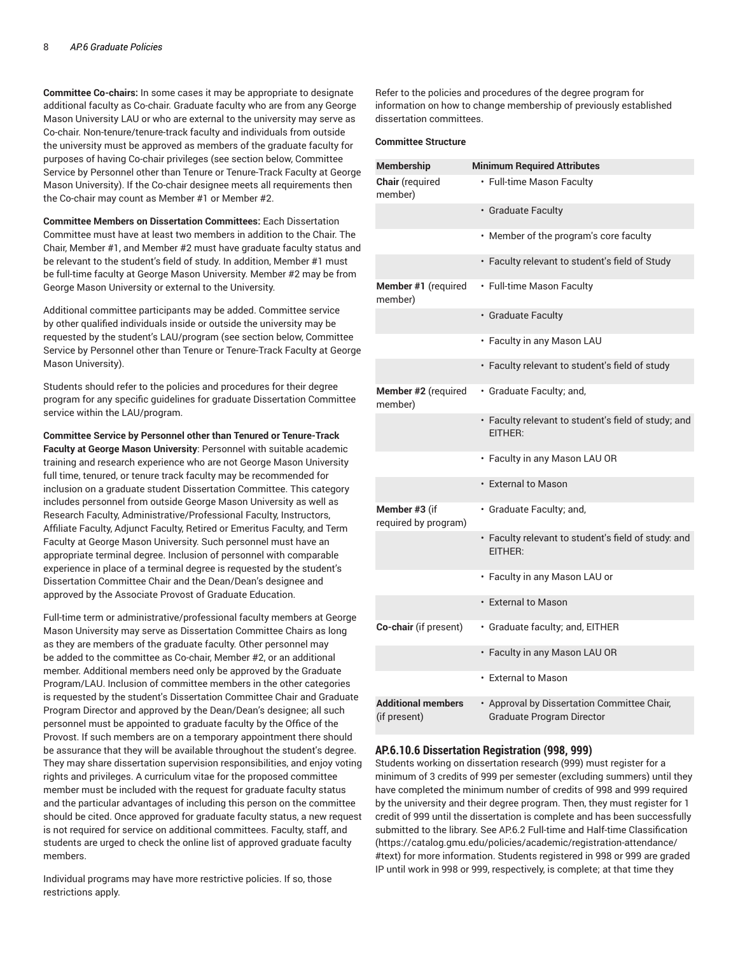**Committee Co-chairs:** In some cases it may be appropriate to designate additional faculty as Co-chair. Graduate faculty who are from any George Mason University LAU or who are external to the university may serve as Co-chair. Non-tenure/tenure-track faculty and individuals from outside the university must be approved as members of the graduate faculty for purposes of having Co-chair privileges (see section below, Committee Service by Personnel other than Tenure or Tenure-Track Faculty at George Mason University). If the Co-chair designee meets all requirements then the Co-chair may count as Member #1 or Member #2.

**Committee Members on Dissertation Committees:** Each Dissertation Committee must have at least two members in addition to the Chair. The Chair, Member #1, and Member #2 must have graduate faculty status and be relevant to the student's field of study. In addition, Member #1 must be full-time faculty at George Mason University. Member #2 may be from George Mason University or external to the University.

Additional committee participants may be added. Committee service by other qualified individuals inside or outside the university may be requested by the student's LAU/program (see section below, Committee Service by Personnel other than Tenure or Tenure-Track Faculty at George Mason University).

Students should refer to the policies and procedures for their degree program for any specific guidelines for graduate Dissertation Committee service within the LAU/program.

**Committee Service by Personnel other than Tenured or Tenure-Track Faculty at George Mason University**: Personnel with suitable academic training and research experience who are not George Mason University full time, tenured, or tenure track faculty may be recommended for inclusion on a graduate student Dissertation Committee. This category includes personnel from outside George Mason University as well as Research Faculty, Administrative/Professional Faculty, Instructors, Affiliate Faculty, Adjunct Faculty, Retired or Emeritus Faculty, and Term Faculty at George Mason University. Such personnel must have an appropriate terminal degree. Inclusion of personnel with comparable experience in place of a terminal degree is requested by the student's Dissertation Committee Chair and the Dean/Dean's designee and approved by the Associate Provost of Graduate Education.

Full-time term or administrative/professional faculty members at George Mason University may serve as Dissertation Committee Chairs as long as they are members of the graduate faculty. Other personnel may be added to the committee as Co-chair, Member #2, or an additional member. Additional members need only be approved by the Graduate Program/LAU. Inclusion of committee members in the other categories is requested by the student's Dissertation Committee Chair and Graduate Program Director and approved by the Dean/Dean's designee; all such personnel must be appointed to graduate faculty by the Office of the Provost. If such members are on a temporary appointment there should be assurance that they will be available throughout the student's degree. They may share dissertation supervision responsibilities, and enjoy voting rights and privileges. A curriculum vitae for the proposed committee member must be included with the request for graduate faculty status and the particular advantages of including this person on the committee should be cited. Once approved for graduate faculty status, a new request is not required for service on additional committees. Faculty, staff, and students are urged to check the online list of approved graduate faculty members.

Individual programs may have more restrictive policies. If so, those restrictions apply.

Refer to the policies and procedures of the degree program for information on how to change membership of previously established dissertation committees.

#### **Committee Structure**

| <b>Membership</b>                         | <b>Minimum Required Attributes</b>                                              |
|-------------------------------------------|---------------------------------------------------------------------------------|
| Chair (required<br>member)                | • Full-time Mason Faculty                                                       |
|                                           | • Graduate Faculty                                                              |
|                                           | • Member of the program's core faculty                                          |
|                                           | • Faculty relevant to student's field of Study                                  |
| Member #1 (required<br>member)            | • Full-time Mason Faculty                                                       |
|                                           | • Graduate Faculty                                                              |
|                                           | • Faculty in any Mason LAU                                                      |
|                                           | · Faculty relevant to student's field of study                                  |
| Member #2 (required<br>member)            | · Graduate Faculty; and,                                                        |
|                                           | • Faculty relevant to student's field of study; and<br>EITHER:                  |
|                                           | • Faculty in any Mason LAU OR                                                   |
|                                           | • External to Mason                                                             |
| Member #3 (if<br>required by program)     | · Graduate Faculty; and,                                                        |
|                                           | • Faculty relevant to student's field of study: and<br>FITHFR:                  |
|                                           | • Faculty in any Mason LAU or                                                   |
|                                           | • External to Mason                                                             |
| Co-chair (if present)                     | · Graduate faculty; and, EITHER                                                 |
|                                           | • Faculty in any Mason LAU OR                                                   |
|                                           | • External to Mason                                                             |
| <b>Additional members</b><br>(if present) | • Approval by Dissertation Committee Chair,<br><b>Graduate Program Director</b> |

## **AP.6.10.6 Dissertation Registration (998, 999)**

Students working on dissertation research (999) must register for a minimum of 3 credits of 999 per semester (excluding summers) until they have completed the minimum number of credits of 998 and 999 required by the university and their degree program. Then, they must register for 1 credit of 999 until the dissertation is complete and has been successfully submitted to the library. See AP.6.2 Full-time and Half-time Classification (https://catalog.gmu.edu/policies/academic/registration-attendance/ #text) for more information. Students registered in 998 or 999 are graded IP until work in 998 or 999, respectively, is complete; at that time they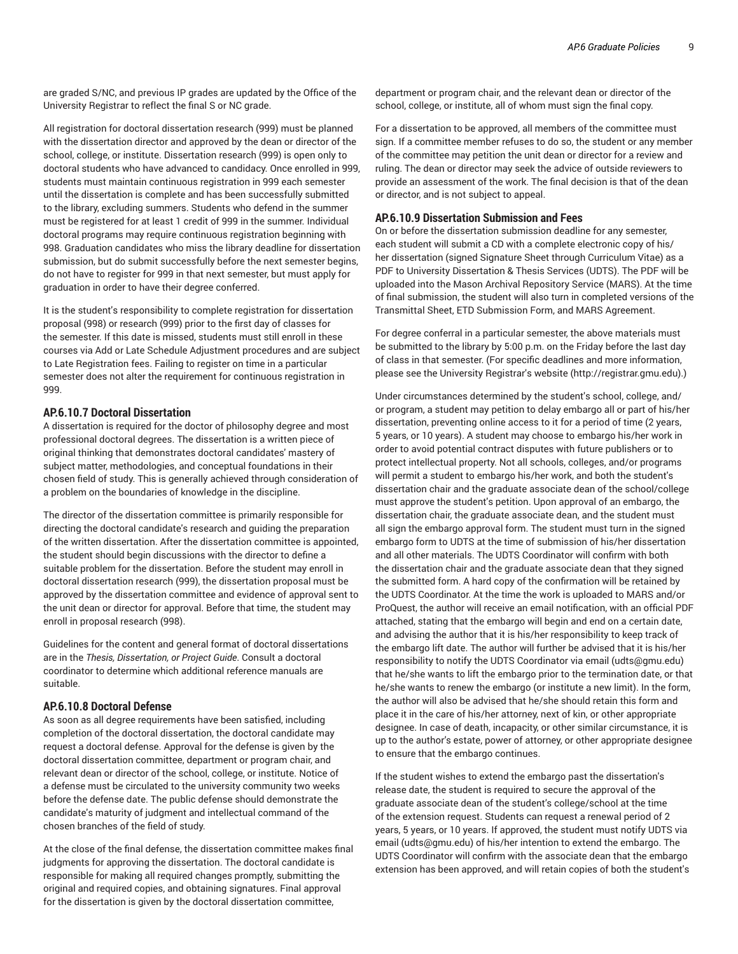are graded S/NC, and previous IP grades are updated by the Office of the University Registrar to reflect the final S or NC grade.

All registration for doctoral dissertation research (999) must be planned with the dissertation director and approved by the dean or director of the school, college, or institute. Dissertation research (999) is open only to doctoral students who have advanced to candidacy. Once enrolled in 999, students must maintain continuous registration in 999 each semester until the dissertation is complete and has been successfully submitted to the library, excluding summers. Students who defend in the summer must be registered for at least 1 credit of 999 in the summer. Individual doctoral programs may require continuous registration beginning with 998. Graduation candidates who miss the library deadline for dissertation submission, but do submit successfully before the next semester begins, do not have to register for 999 in that next semester, but must apply for graduation in order to have their degree conferred.

It is the student's responsibility to complete registration for dissertation proposal (998) or research (999) prior to the first day of classes for the semester. If this date is missed, students must still enroll in these courses via Add or Late Schedule Adjustment procedures and are subject to Late Registration fees. Failing to register on time in a particular semester does not alter the requirement for continuous registration in 999.

## **AP.6.10.7 Doctoral Dissertation**

A dissertation is required for the doctor of philosophy degree and most professional doctoral degrees. The dissertation is a written piece of original thinking that demonstrates doctoral candidates' mastery of subject matter, methodologies, and conceptual foundations in their chosen field of study. This is generally achieved through consideration of a problem on the boundaries of knowledge in the discipline.

The director of the dissertation committee is primarily responsible for directing the doctoral candidate's research and guiding the preparation of the written dissertation. After the dissertation committee is appointed, the student should begin discussions with the director to define a suitable problem for the dissertation. Before the student may enroll in doctoral dissertation research (999), the dissertation proposal must be approved by the dissertation committee and evidence of approval sent to the unit dean or director for approval. Before that time, the student may enroll in proposal research (998).

Guidelines for the content and general format of doctoral dissertations are in the *Thesis, Dissertation, or Project Guide*. Consult a doctoral coordinator to determine which additional reference manuals are suitable.

## **AP.6.10.8 Doctoral Defense**

As soon as all degree requirements have been satisfied, including completion of the doctoral dissertation, the doctoral candidate may request a doctoral defense. Approval for the defense is given by the doctoral dissertation committee, department or program chair, and relevant dean or director of the school, college, or institute. Notice of a defense must be circulated to the university community two weeks before the defense date. The public defense should demonstrate the candidate's maturity of judgment and intellectual command of the chosen branches of the field of study.

At the close of the final defense, the dissertation committee makes final judgments for approving the dissertation. The doctoral candidate is responsible for making all required changes promptly, submitting the original and required copies, and obtaining signatures. Final approval for the dissertation is given by the doctoral dissertation committee,

department or program chair, and the relevant dean or director of the school, college, or institute, all of whom must sign the final copy.

For a dissertation to be approved, all members of the committee must sign. If a committee member refuses to do so, the student or any member of the committee may petition the unit dean or director for a review and ruling. The dean or director may seek the advice of outside reviewers to provide an assessment of the work. The final decision is that of the dean or director, and is not subject to appeal.

# **AP.6.10.9 Dissertation Submission and Fees**

On or before the dissertation submission deadline for any semester, each student will submit a CD with a complete electronic copy of his/ her dissertation (signed Signature Sheet through Curriculum Vitae) as a PDF to University Dissertation & Thesis Services (UDTS). The PDF will be uploaded into the Mason Archival Repository Service (MARS). At the time of final submission, the student will also turn in completed versions of the Transmittal Sheet, ETD Submission Form, and MARS Agreement.

For degree conferral in a particular semester, the above materials must be submitted to the library by 5:00 p.m. on the Friday before the last day of class in that semester. (For specific deadlines and more information, please see the University Registrar's website (http://registrar.gmu.edu).)

Under circumstances determined by the student's school, college, and/ or program, a student may petition to delay embargo all or part of his/her dissertation, preventing online access to it for a period of time (2 years, 5 years, or 10 years). A student may choose to embargo his/her work in order to avoid potential contract disputes with future publishers or to protect intellectual property. Not all schools, colleges, and/or programs will permit a student to embargo his/her work, and both the student's dissertation chair and the graduate associate dean of the school/college must approve the student's petition. Upon approval of an embargo, the dissertation chair, the graduate associate dean, and the student must all sign the embargo approval form. The student must turn in the signed embargo form to UDTS at the time of submission of his/her dissertation and all other materials. The UDTS Coordinator will confirm with both the dissertation chair and the graduate associate dean that they signed the submitted form. A hard copy of the confirmation will be retained by the UDTS Coordinator. At the time the work is uploaded to MARS and/or ProQuest, the author will receive an email notification, with an official PDF attached, stating that the embargo will begin and end on a certain date, and advising the author that it is his/her responsibility to keep track of the embargo lift date. The author will further be advised that it is his/her responsibility to notify the UDTS Coordinator via email (udts@gmu.edu) that he/she wants to lift the embargo prior to the termination date, or that he/she wants to renew the embargo (or institute a new limit). In the form, the author will also be advised that he/she should retain this form and place it in the care of his/her attorney, next of kin, or other appropriate designee. In case of death, incapacity, or other similar circumstance, it is up to the author's estate, power of attorney, or other appropriate designee to ensure that the embargo continues.

If the student wishes to extend the embargo past the dissertation's release date, the student is required to secure the approval of the graduate associate dean of the student's college/school at the time of the extension request. Students can request a renewal period of 2 years, 5 years, or 10 years. If approved, the student must notify UDTS via email (udts@gmu.edu) of his/her intention to extend the embargo. The UDTS Coordinator will confirm with the associate dean that the embargo extension has been approved, and will retain copies of both the student's